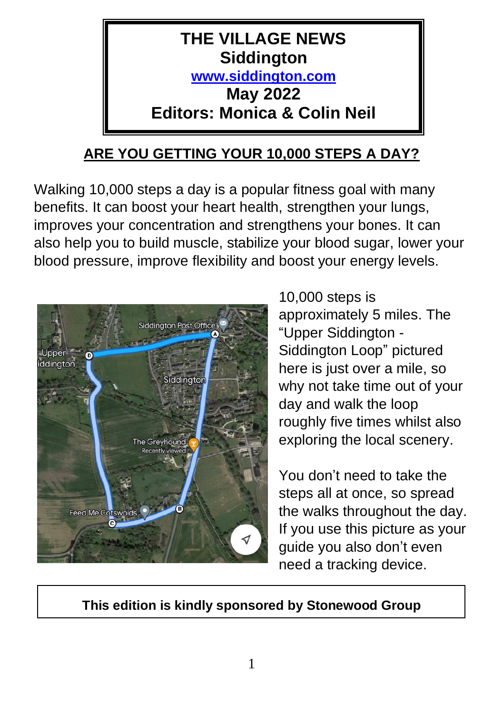

# **ARE YOU GETTING YOUR 10,000 STEPS A DAY?**

Walking 10,000 steps a day is a popular fitness goal with many benefits. It can boost your heart health, strengthen your lungs, improves your concentration and strengthens your bones. It can also help you to build muscle, stabilize your blood sugar, lower your blood pressure, improve flexibility and boost your energy levels.



10,000 steps is approximately 5 miles. The "Upper Siddington - Siddington Loop" pictured here is just over a mile, so why not take time out of your day and walk the loop roughly five times whilst also exploring the local scenery.

You don't need to take the steps all at once, so spread the walks throughout the day. If you use this picture as your guide you also don't even need a tracking device.

**This edition is kindly sponsored by Stonewood Group**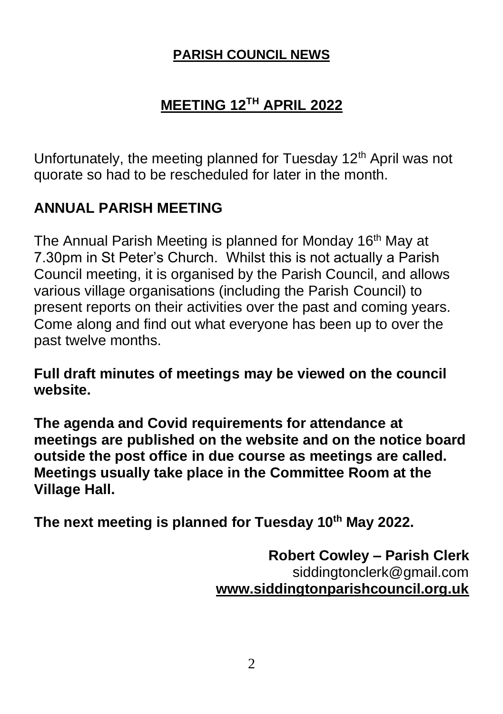#### **PARISH COUNCIL NEWS**

# **MEETING 12TH APRIL 2022**

Unfortunately, the meeting planned for Tuesday 12<sup>th</sup> April was not quorate so had to be rescheduled for later in the month.

## **ANNUAL PARISH MEETING**

The Annual Parish Meeting is planned for Monday 16<sup>th</sup> May at 7.30pm in St Peter's Church. Whilst this is not actually a Parish Council meeting, it is organised by the Parish Council, and allows various village organisations (including the Parish Council) to present reports on their activities over the past and coming years. Come along and find out what everyone has been up to over the past twelve months.

**Full draft minutes of meetings may be viewed on the council website.** 

**The agenda and Covid requirements for attendance at meetings are published on the website and on the notice board outside the post office in due course as meetings are called. Meetings usually take place in the Committee Room at the Village Hall.**

**The next meeting is planned for Tuesday 10th May 2022.**

**Robert Cowley – Parish Clerk** siddingtonclerk@gmail.com **[www.siddingtonparishcouncil.org.uk](http://www.siddingtonparishcouncil.org.uk/)**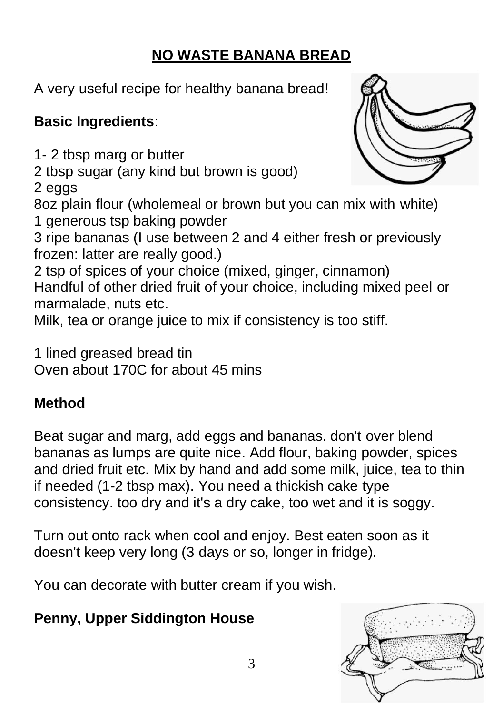# **NO WASTE BANANA BREAD**

A very useful recipe for healthy banana bread!

# **Basic Ingredients**:

1- 2 tbsp marg or butter

2 tbsp sugar (any kind but brown is good)

2 eggs

8oz plain flour (wholemeal or brown but you can mix with white) 1 generous tsp baking powder

3 ripe bananas (I use between 2 and 4 either fresh or previously frozen: latter are really good.)

2 tsp of spices of your choice (mixed, ginger, cinnamon) Handful of other dried fruit of your choice, including mixed peel or marmalade, nuts etc.

Milk, tea or orange juice to mix if consistency is too stiff.

1 lined greased bread tin Oven about 170C for about 45 mins

# **Method**

Beat sugar and marg, add eggs and bananas. don't over blend bananas as lumps are quite nice. Add flour, baking powder, spices and dried fruit etc. Mix by hand and add some milk, juice, tea to thin if needed (1-2 tbsp max). You need a thickish cake type consistency. too dry and it's a dry cake, too wet and it is soggy.

Turn out onto rack when cool and enjoy. Best eaten soon as it doesn't keep very long (3 days or so, longer in fridge).

You can decorate with butter cream if you wish.

# **Penny, Upper Siddington House**



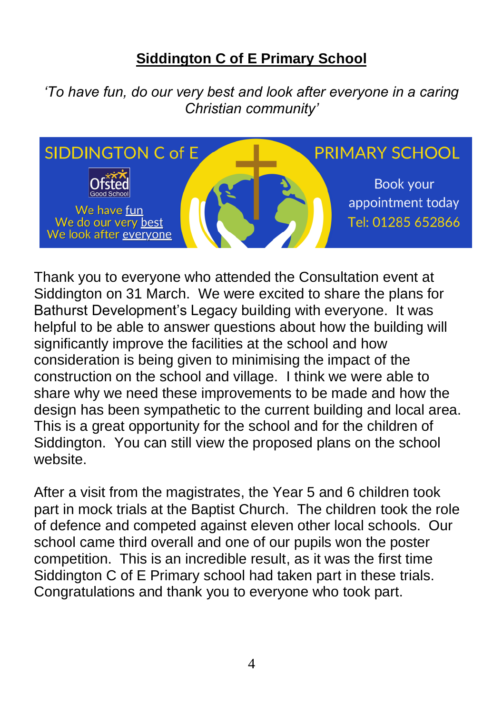## **Siddington C of E Primary School**

*'To have fun, do our very best and look after everyone in a caring Christian community'*



Thank you to everyone who attended the Consultation event at Siddington on 31 March. We were excited to share the plans for Bathurst Development's Legacy building with everyone. It was helpful to be able to answer questions about how the building will significantly improve the facilities at the school and how consideration is being given to minimising the impact of the construction on the school and village. I think we were able to share why we need these improvements to be made and how the design has been sympathetic to the current building and local area. This is a great opportunity for the school and for the children of Siddington. You can still view the proposed plans on the school website.

After a visit from the magistrates, the Year 5 and 6 children took part in mock trials at the Baptist Church. The children took the role of defence and competed against eleven other local schools. Our school came third overall and one of our pupils won the poster competition. This is an incredible result, as it was the first time Siddington C of E Primary school had taken part in these trials. Congratulations and thank you to everyone who took part.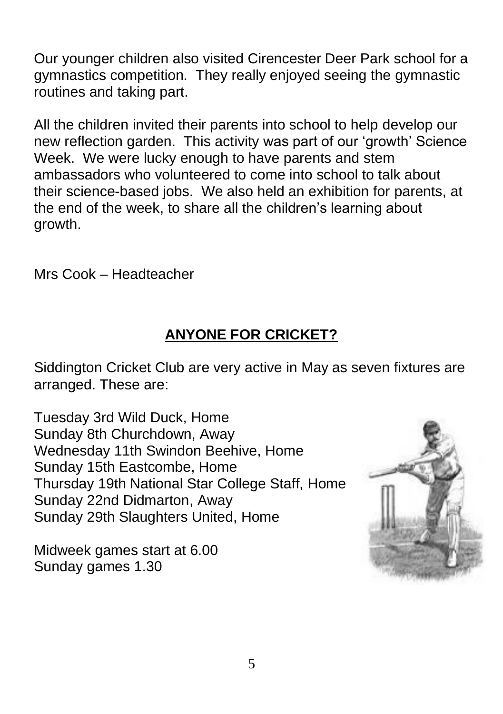Our younger children also visited Cirencester Deer Park school for a gymnastics competition. They really enjoyed seeing the gymnastic routines and taking part.

All the children invited their parents into school to help develop our new reflection garden. This activity was part of our 'growth' Science Week. We were lucky enough to have parents and stem ambassadors who volunteered to come into school to talk about their science-based jobs. We also held an exhibition for parents, at the end of the week, to share all the children's learning about growth.

Mrs Cook – Headteacher

# **ANYONE FOR CRICKET?**

Siddington Cricket Club are very active in May as seven fixtures are arranged. These are:

Tuesday 3rd Wild Duck, Home Sunday 8th Churchdown, Away Wednesday 11th Swindon Beehive, Home Sunday 15th Eastcombe, Home Thursday 19th National Star College Staff, Home Sunday 22nd Didmarton, Away Sunday 29th Slaughters United, Home

Midweek games start at 6.00 Sunday games 1.30

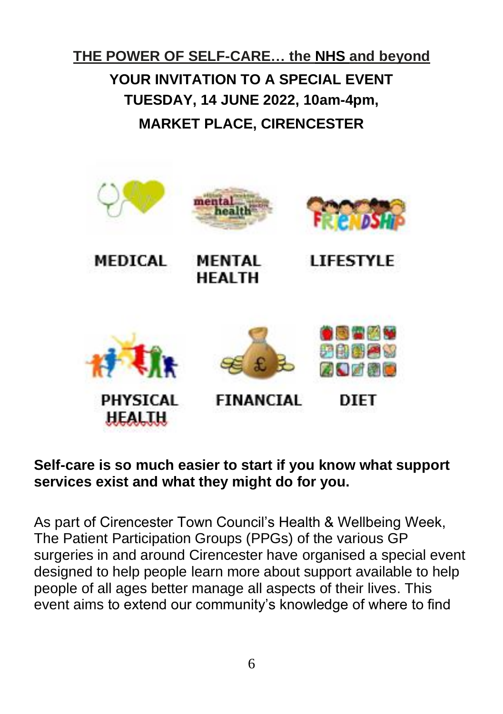# **THE POWER OF SELF-CARE… the NHS and beyond YOUR INVITATION TO A SPECIAL EVENT TUESDAY, 14 JUNE 2022, 10am-4pm, MARKET PLACE, CIRENCESTER**



#### **Self-care is so much easier to start if you know what support services exist and what they might do for you.**

As part of Cirencester Town Council's Health & Wellbeing Week, The Patient Participation Groups (PPGs) of the various GP surgeries in and around Cirencester have organised a special event designed to help people learn more about support available to help people of all ages better manage all aspects of their lives. This event aims to extend our community's knowledge of where to find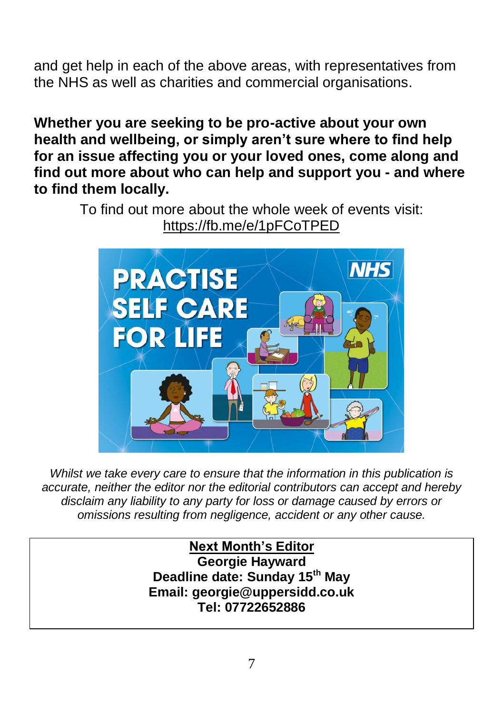and get help in each of the above areas, with representatives from the NHS as well as charities and commercial organisations.

**Whether you are seeking to be pro-active about your own health and wellbeing, or simply aren't sure where to find help for an issue affecting you or your loved ones, come along and find out more about who can help and support you - and where to find them locally.**

> To find out more about the whole week of events visit: <https://fb.me/e/1pFCoTPED>



*Whilst we take every care to ensure that the information in this publication is accurate, neither the editor nor the editorial contributors can accept and hereby disclaim any liability to any party for loss or damage caused by errors or omissions resulting from negligence, accident or any other cause.*

> **Next Month's Editor Georgie Hayward Deadline date: Sunday 15th May Email: georgie@uppersidd.co.uk Tel: 07722652886**